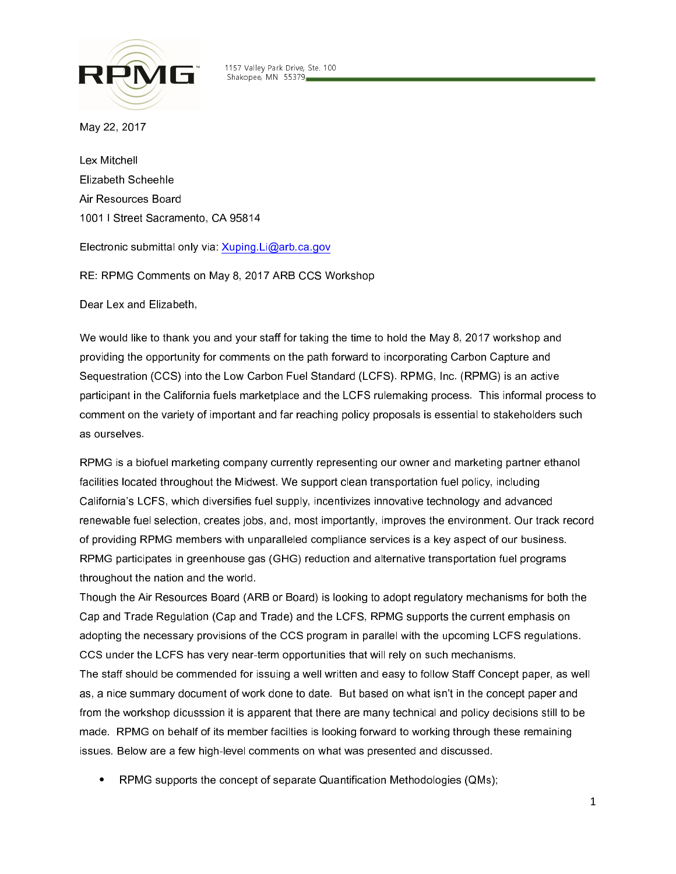

■ ™ 1157 Valley Park Drive, Ste. 100 **THE Shakopee, MN 55379.** 

May 22, 2017

Lex Mitchell Elizabeth Scheehle Air Resources Board 1001 I Street Sacramento, CA 95814

Electronic submittal only via: Xuping.Li@arb.ca.gov

RE: RPMG Comments on May 8, 2017 ARB CCS Workshop

Dear Lex and Elizabeth,

We would like to thank you and your staff for taking the time to hold the May 8, 2017 workshop and providing the opportunity for comments on the path forward to incorporating Carbon Capture and Sequestration (CCS) into the Low Carbon Fuel Standard (LCFS). RPMG, Inc. (RPMG) is an active participant in the California fuels marketplace and the LCFS rulemaking process. This informal process to comment on the variety of important and far reaching policy proposals is essential to stakeholders such as ourselves.

RPMG is a biofuel marketing company currently representing our owner and marketing partner ethanol facilities located throughout the Midwest. We support clean transportation fuel policy, including California's LCFS, which diversifies fuel supply, incentivizes innovative technology and advanced renewable fuel selection, creates jobs, and, most importantly, improves the environment. Our track record of providing RPMG members with unparalleled compliance services is a key aspect of our business. RPMG participates in greenhouse gas (GHG) reduction and alternative transportation fuel programs throughout the nation and the world.

Though the Air Resources Board (ARB or Board) is looking to adopt regulatory mechanisms for both the Cap and Trade Regulation (Cap and Trade) and the LCFS, RPMG supports the current emphasis on adopting the necessary provisions of the CCS program in parallel with the upcoming LCFS regulations. CCS under the LCFS has very near-term opportunities that will rely on such mechanisms.

The staff should be commended for issuing a well written and easy to follow Staff Concept paper, as well as, a nice summary document of work done to date. But based on what isn't in the concept paper and from the workshop dicusssion it is apparent that there are many technical and policy decisions still to be made. RPMG on behalf of its member facilties is looking forward to working through these remaining issues. Below are a few high-level comments on what was presented and discussed.

• RPMG supports the concept of separate Quantification Methodologies (QMs);